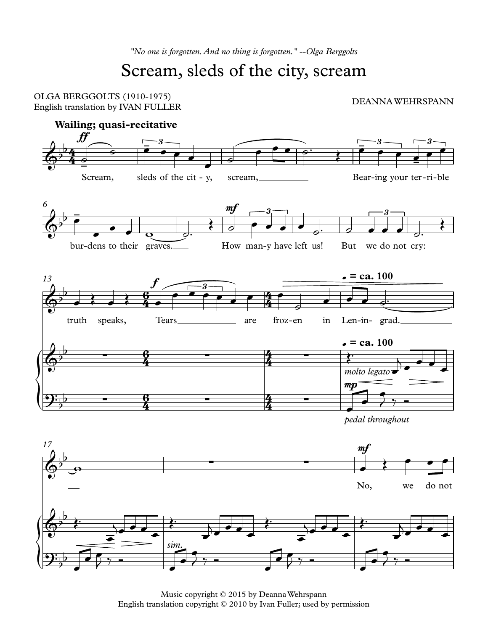## Scream, sleds of the city, scream



Music copyright © 2015 by DeannaWehrspann English translation copyright © 2010 by Ivan Fuller; used by permission